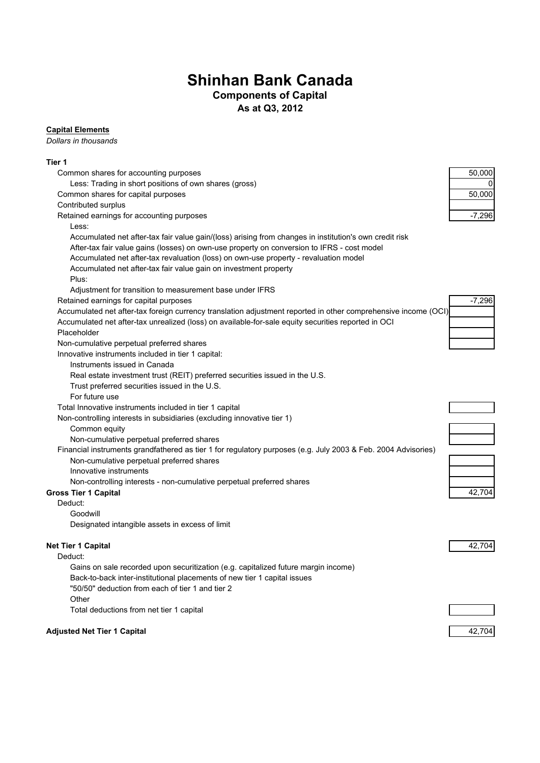# **Shinhan Bank Canada**

## **Components of Capital**

**As at Q3, 2012**

#### **Capital Elements**

*Dollars in thousands*

### **Tier 1**

| Common shares for accounting purposes                                                                          | 50,000       |
|----------------------------------------------------------------------------------------------------------------|--------------|
| Less: Trading in short positions of own shares (gross)                                                         | <sup>0</sup> |
| Common shares for capital purposes                                                                             | 50,000       |
| Contributed surplus                                                                                            |              |
| Retained earnings for accounting purposes                                                                      | $-7,296$     |
| Less:                                                                                                          |              |
| Accumulated net after-tax fair value gain/(loss) arising from changes in institution's own credit risk         |              |
| After-tax fair value gains (losses) on own-use property on conversion to IFRS - cost model                     |              |
| Accumulated net after-tax revaluation (loss) on own-use property - revaluation model                           |              |
| Accumulated net after-tax fair value gain on investment property                                               |              |
| Plus:                                                                                                          |              |
| Adjustment for transition to measurement base under IFRS                                                       |              |
| Retained earnings for capital purposes                                                                         | $-7,296$     |
| Accumulated net after-tax foreign currency translation adjustment reported in other comprehensive income (OCI) |              |
| Accumulated net after-tax unrealized (loss) on available-for-sale equity securities reported in OCI            |              |
| Placeholder                                                                                                    |              |
| Non-cumulative perpetual preferred shares                                                                      |              |
| Innovative instruments included in tier 1 capital:                                                             |              |
| Instruments issued in Canada                                                                                   |              |
| Real estate investment trust (REIT) preferred securities issued in the U.S.                                    |              |
| Trust preferred securities issued in the U.S.                                                                  |              |
| For future use                                                                                                 |              |
| Total Innovative instruments included in tier 1 capital                                                        |              |
| Non-controlling interests in subsidiaries (excluding innovative tier 1)                                        |              |
| Common equity                                                                                                  |              |
| Non-cumulative perpetual preferred shares                                                                      |              |
| Financial instruments grandfathered as tier 1 for regulatory purposes (e.g. July 2003 & Feb. 2004 Advisories)  |              |
| Non-cumulative perpetual preferred shares                                                                      |              |
| Innovative instruments                                                                                         |              |
| Non-controlling interests - non-cumulative perpetual preferred shares                                          |              |
| <b>Gross Tier 1 Capital</b>                                                                                    | 42,704       |
| Deduct:                                                                                                        |              |
| Goodwill                                                                                                       |              |
| Designated intangible assets in excess of limit                                                                |              |
| <b>Net Tier 1 Capital</b>                                                                                      | 42,704       |
| Deduct:                                                                                                        |              |
| Gains on sale recorded upon securitization (e.g. capitalized future margin income)                             |              |
| Back-to-back inter-institutional placements of new tier 1 capital issues                                       |              |
| "50/50" deduction from each of tier 1 and tier 2                                                               |              |
| Other                                                                                                          |              |
| Total deductions from net tier 1 capital                                                                       |              |
| <b>Adjusted Net Tier 1 Capital</b>                                                                             | 42,704       |